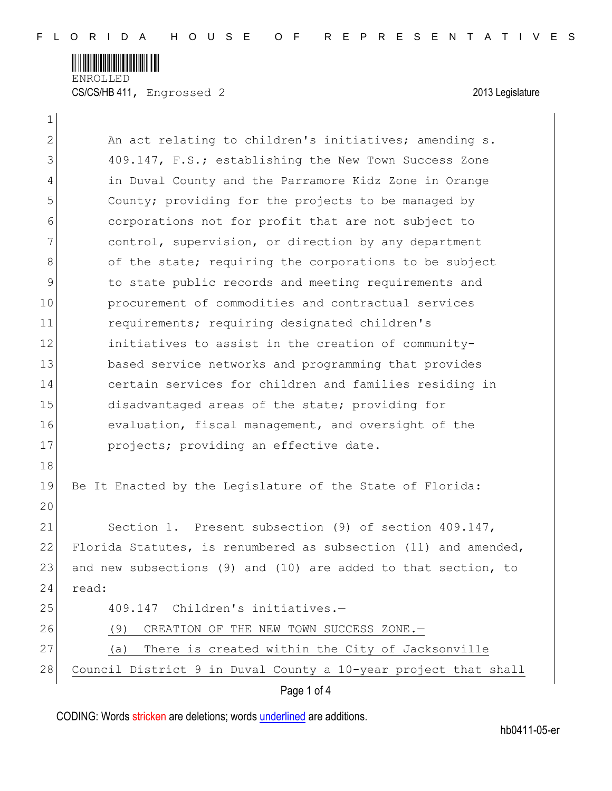

ENROLLED CS/CS/HB 411, Engrossed 2 2013 Legislature

 $\mathbf{1}$ 

| $\mathbf{2}$  | An act relating to children's initiatives; amending s.          |
|---------------|-----------------------------------------------------------------|
| 3             | 409.147, F.S.; establishing the New Town Success Zone           |
| 4             | in Duval County and the Parramore Kidz Zone in Orange           |
| 5             | County; providing for the projects to be managed by             |
| 6             | corporations not for profit that are not subject to             |
| 7             | control, supervision, or direction by any department            |
| 8             | of the state; requiring the corporations to be subject          |
| $\mathcal{G}$ | to state public records and meeting requirements and            |
| 10            | procurement of commodities and contractual services             |
| 11            | requirements; requiring designated children's                   |
| 12            | initiatives to assist in the creation of community-             |
| 13            | based service networks and programming that provides            |
| 14            | certain services for children and families residing in          |
| 15            | disadvantaged areas of the state; providing for                 |
| 16            | evaluation, fiscal management, and oversight of the             |
| 17            | projects; providing an effective date.                          |
| 18            |                                                                 |
| 19            | Be It Enacted by the Legislature of the State of Florida:       |
| 20            |                                                                 |
| 21            | Section 1. Present subsection (9) of section 409.147,           |
| 22            | Florida Statutes, is renumbered as subsection (11) and amended, |
| 23            | and new subsections (9) and (10) are added to that section, to  |
| 24            | read:                                                           |
| 25            | 409.147 Children's initiatives.-                                |
| 26            | CREATION OF THE NEW TOWN SUCCESS ZONE.-<br>(9)                  |
| 27            | There is created within the City of Jacksonville<br>(a)         |
| 28            | Council District 9 in Duval County a 10-year project that shall |

Page 1 of 4

CODING: Words stricken are deletions; words underlined are additions.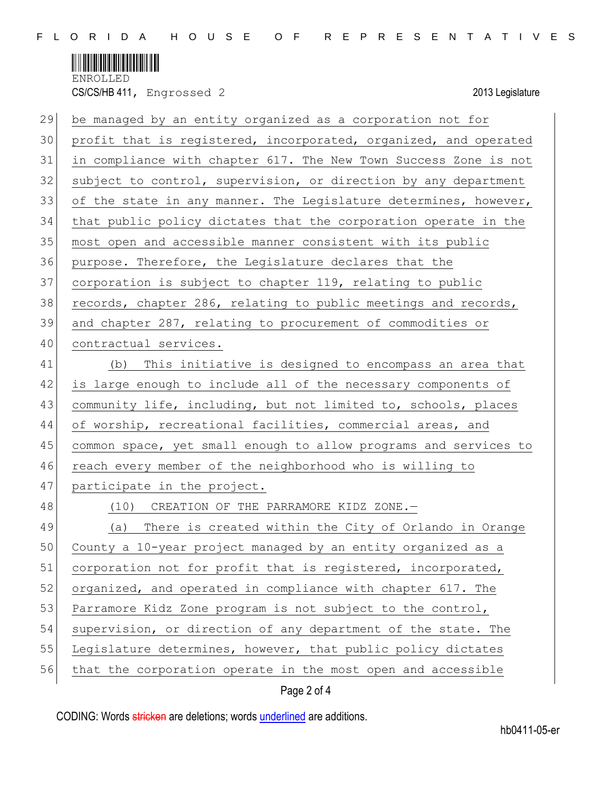

CS/CS/HB 411, Engrossed 2 2013 Legislature

| 29 | be managed by an entity organized as a corporation not for       |
|----|------------------------------------------------------------------|
| 30 | profit that is registered, incorporated, organized, and operated |
| 31 | in compliance with chapter 617. The New Town Success Zone is not |
| 32 | subject to control, supervision, or direction by any department  |
| 33 | of the state in any manner. The Legislature determines, however, |
| 34 | that public policy dictates that the corporation operate in the  |
| 35 | most open and accessible manner consistent with its public       |
| 36 | purpose. Therefore, the Legislature declares that the            |
| 37 | corporation is subject to chapter 119, relating to public        |
| 38 | records, chapter 286, relating to public meetings and records,   |
| 39 | and chapter 287, relating to procurement of commodities or       |
| 40 | contractual services.                                            |
| 41 | This initiative is designed to encompass an area that<br>(b)     |
| 42 | is large enough to include all of the necessary components of    |
| 43 | community life, including, but not limited to, schools, places   |
| 44 | of worship, recreational facilities, commercial areas, and       |
| 45 | common space, yet small enough to allow programs and services to |
| 46 | reach every member of the neighborhood who is willing to         |
| 47 | participate in the project.                                      |
| 48 | (10) CREATION OF THE PARRAMORE KIDZ ZONE.-                       |
| 49 | (a) There is created within the City of Orlando in Orange        |
| 50 | County a 10-year project managed by an entity organized as a     |
| 51 | corporation not for profit that is registered, incorporated,     |
| 52 | organized, and operated in compliance with chapter 617. The      |
| 53 | Parramore Kidz Zone program is not subject to the control,       |
| 54 | supervision, or direction of any department of the state. The    |
| 55 | Legislature determines, however, that public policy dictates     |
| 56 | that the corporation operate in the most open and accessible     |
|    |                                                                  |

## Page 2 of 4

CODING: Words stricken are deletions; words underlined are additions.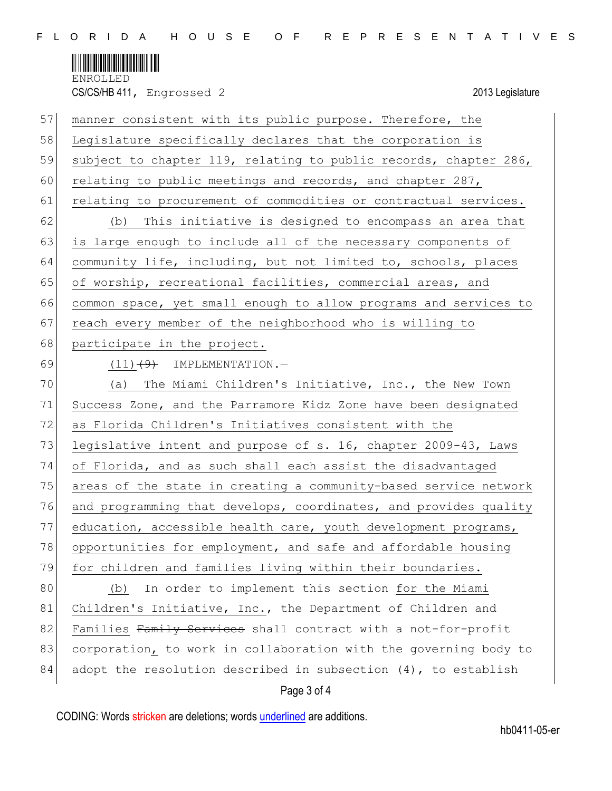

CS/CS/HB 411, Engrossed 2 2013 Legislature

| 58<br>Legislature specifically declares that the corporation is<br>59<br>subject to chapter 119, relating to public records, chapter 286,<br>60<br>relating to public meetings and records, and chapter 287,<br>61<br>relating to procurement of commodities or contractual services.<br>62<br>This initiative is designed to encompass an area that<br>(b) |  |
|-------------------------------------------------------------------------------------------------------------------------------------------------------------------------------------------------------------------------------------------------------------------------------------------------------------------------------------------------------------|--|
|                                                                                                                                                                                                                                                                                                                                                             |  |
|                                                                                                                                                                                                                                                                                                                                                             |  |
|                                                                                                                                                                                                                                                                                                                                                             |  |
|                                                                                                                                                                                                                                                                                                                                                             |  |
|                                                                                                                                                                                                                                                                                                                                                             |  |
| 63<br>is large enough to include all of the necessary components of                                                                                                                                                                                                                                                                                         |  |
| 64<br>community life, including, but not limited to, schools, places                                                                                                                                                                                                                                                                                        |  |
| 65<br>of worship, recreational facilities, commercial areas, and                                                                                                                                                                                                                                                                                            |  |
| 66<br>common space, yet small enough to allow programs and services to                                                                                                                                                                                                                                                                                      |  |
| 67<br>reach every member of the neighborhood who is willing to                                                                                                                                                                                                                                                                                              |  |
| 68<br>participate in the project.                                                                                                                                                                                                                                                                                                                           |  |
| 69<br>$(11)$ $(9)$ IMPLEMENTATION. -                                                                                                                                                                                                                                                                                                                        |  |
| 70<br>The Miami Children's Initiative, Inc., the New Town<br>(a)                                                                                                                                                                                                                                                                                            |  |
| 71<br>Success Zone, and the Parramore Kidz Zone have been designated                                                                                                                                                                                                                                                                                        |  |
| 72<br>as Florida Children's Initiatives consistent with the                                                                                                                                                                                                                                                                                                 |  |
| 73<br>legislative intent and purpose of s. 16, chapter 2009-43, Laws                                                                                                                                                                                                                                                                                        |  |
| 74<br>of Florida, and as such shall each assist the disadvantaged                                                                                                                                                                                                                                                                                           |  |
| 75<br>areas of the state in creating a community-based service network                                                                                                                                                                                                                                                                                      |  |
| 76<br>and programming that develops, coordinates, and provides quality                                                                                                                                                                                                                                                                                      |  |
| 77<br>education, accessible health care, youth development programs,                                                                                                                                                                                                                                                                                        |  |
| 78<br>opportunities for employment, and safe and affordable housing                                                                                                                                                                                                                                                                                         |  |
| 79<br>for children and families living within their boundaries.                                                                                                                                                                                                                                                                                             |  |
| 80<br>In order to implement this section for the Miami<br>(b)                                                                                                                                                                                                                                                                                               |  |
| 81<br>Children's Initiative, Inc., the Department of Children and                                                                                                                                                                                                                                                                                           |  |
| 82<br>Families Family Services shall contract with a not-for-profit                                                                                                                                                                                                                                                                                         |  |
|                                                                                                                                                                                                                                                                                                                                                             |  |
| 83<br>corporation, to work in collaboration with the governing body to                                                                                                                                                                                                                                                                                      |  |

## Page 3 of 4

CODING: Words stricken are deletions; words underlined are additions.